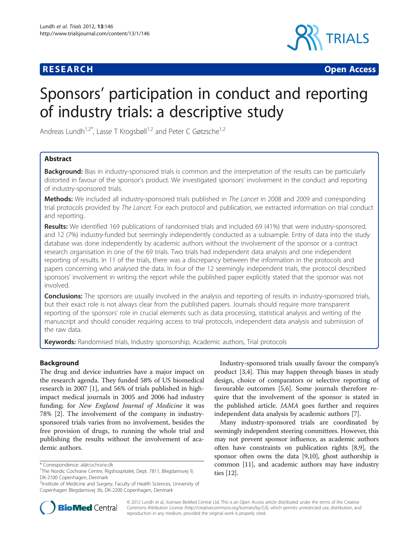

**RESEARCH CHEAR CHEAR CHEAR CHEAR CHEAR CHEAR CHEAR CHEAR CHEAR CHEAR CHEAR CHEAR CHEAR CHEAR CHEAR CHEAR CHEAR** 

# Sponsors' participation in conduct and reporting of industry trials: a descriptive study

Andreas Lundh<sup>1,2\*</sup>, Lasse T Krogsbøll<sup>1,2</sup> and Peter C Gøtzsche<sup>1,2</sup>

# Abstract

**Background:** Bias in industry-sponsored trials is common and the interpretation of the results can be particularly distorted in favour of the sponsor's product. We investigated sponsors' involvement in the conduct and reporting of industry-sponsored trials.

Methods: We included all industry-sponsored trials published in The Lancet in 2008 and 2009 and corresponding trial protocols provided by The Lancet. For each protocol and publication, we extracted information on trial conduct and reporting.

Results: We identified 169 publications of randomised trials and included 69 (41%) that were industry-sponsored, and 12 (7%) industry-funded but seemingly independently conducted as a subsample. Entry of data into the study database was done independently by academic authors without the involvement of the sponsor or a contract research organisation in one of the 69 trials. Two trials had independent data analysis and one independent reporting of results. In 11 of the trials, there was a discrepancy between the information in the protocols and papers concerning who analysed the data. In four of the 12 seemingly independent trials, the protocol described sponsors' involvement in writing the report while the published paper explicitly stated that the sponsor was not involved.

Conclusions: The sponsors are usually involved in the analysis and reporting of results in industry-sponsored trials, but their exact role is not always clear from the published papers. Journals should require more transparent reporting of the sponsors' role in crucial elements such as data processing, statistical analysis and writing of the manuscript and should consider requiring access to trial protocols, independent data analysis and submission of the raw data.

Keywords: Randomised trials, Industry sponsorship, Academic authors, Trial protocols

# Background

The drug and device industries have a major impact on the research agenda. They funded 58% of US biomedical research in 2007 [[1](#page-4-0)], and 56% of trials published in highimpact medical journals in 2005 and 2006 had industry funding; for New England Journal of Medicine it was 78% [[2\]](#page-4-0). The involvement of the company in industrysponsored trials varies from no involvement, besides the free provision of drugs, to running the whole trial and publishing the results without the involvement of academic authors.

2 Institute of Medicine and Surgery, Faculty of Health Sciences, University of Copenhagen Blegdamsvej 3b, DK-2200 Copenhagen, Denmark

Industry-sponsored trials usually favour the company's product [[3,4\]](#page-4-0). This may happen through biases in study design, choice of comparators or selective reporting of favourable outcomes [[5,6\]](#page-4-0). Some journals therefore require that the involvement of the sponsor is stated in the published article. JAMA goes further and requires independent data analysis by academic authors [\[7\]](#page-4-0).

Many industry-sponsored trials are coordinated by seemingly independent steering committees. However, this may not prevent sponsor influence, as academic authors often have constraints on publication rights [\[8,9](#page-5-0)], the sponsor often owns the data [[9,10](#page-5-0)], ghost authorship is common [\[11\]](#page-5-0), and academic authors may have industry ties [\[12\]](#page-5-0).



© 2012 Lundh et al.; licensee BioMed Central Ltd. This is an Open Access article distributed under the terms of the Creative Commons Attribution License [\(http://creativecommons.org/licenses/by/2.0\)](http://creativecommons.org/licenses/by/2.0), which permits unrestricted use, distribution, and reproduction in any medium, provided the original work is properly cited.

<sup>\*</sup> Correspondence: [al@cochrane.dk](mailto:al@cochrane.dk) <sup>1</sup>

<sup>&</sup>lt;sup>1</sup>The Nordic Cochrane Centre, Rigshospitalet, Dept. 7811, Blegdamsvej 9, DK-2100 Copenhagen, Denmark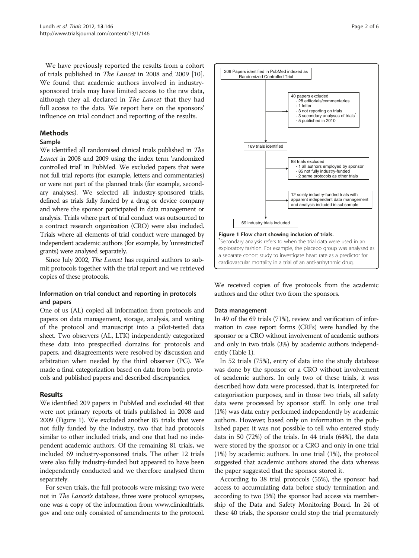We have previously reported the results from a cohort of trials published in The Lancet in 2008 and 2009 [\[10](#page-5-0)]. We found that academic authors involved in industrysponsored trials may have limited access to the raw data, although they all declared in The Lancet that they had full access to the data. We report here on the sponsors' influence on trial conduct and reporting of the results.

# Methods

# Sample

We identified all randomised clinical trials published in The Lancet in 2008 and 2009 using the index term 'randomized controlled trial' in PubMed. We excluded papers that were not full trial reports (for example, letters and commentaries) or were not part of the planned trials (for example, secondary analyses). We selected all industry-sponsored trials, defined as trials fully funded by a drug or device company and where the sponsor participated in data management or analysis. Trials where part of trial conduct was outsourced to a contract research organization (CRO) were also included. Trials where all elements of trial conduct were managed by independent academic authors (for example, by 'unrestricted' grants) were analysed separately.

Since July 2002, The Lancet has required authors to submit protocols together with the trial report and we retrieved copies of these protocols.

# Information on trial conduct and reporting in protocols and papers

One of us (AL) copied all information from protocols and papers on data management, storage, analysis, and writing of the protocol and manuscript into a pilot-tested data sheet. Two observers (AL, LTK) independently categorized these data into prespecified domains for protocols and papers, and disagreements were resolved by discussion and arbitration when needed by the third observer (PG). We made a final categorization based on data from both protocols and published papers and described discrepancies.

# Results

We identified 209 papers in PubMed and excluded 40 that were not primary reports of trials published in 2008 and 2009 (Figure 1). We excluded another 85 trials that were not fully funded by the industry, two that had protocols similar to other included trials, and one that had no independent academic authors. Of the remaining 81 trials, we included 69 industry-sponsored trials. The other 12 trials were also fully industry-funded but appeared to have been independently conducted and we therefore analysed them separately.

For seven trials, the full protocols were missing: two were not in The Lancet's database, three were protocol synopses, one was a copy of the information from [www.clinicaltrials.](http://www.clinicaltrials.gov) [gov](http://www.clinicaltrials.gov) and one only consisted of amendments to the protocol.



We received copies of five protocols from the academic authors and the other two from the sponsors.

# Data management

In 49 of the 69 trials (71%), review and verification of information in case report forms (CRFs) were handled by the sponsor or a CRO without involvement of academic authors and only in two trials (3%) by academic authors independently (Table [1](#page-2-0)).

In 52 trials (75%), entry of data into the study database was done by the sponsor or a CRO without involvement of academic authors. In only two of these trials, it was described how data were processed, that is, interpreted for categorisation purposes, and in those two trials, all safety data were processed by sponsor staff. In only one trial (1%) was data entry performed independently by academic authors. However, based only on information in the published paper, it was not possible to tell who entered study data in 50 (72%) of the trials. In 44 trials (64%), the data were stored by the sponsor or a CRO and only in one trial (1%) by academic authors. In one trial (1%), the protocol suggested that academic authors stored the data whereas the paper suggested that the sponsor stored it.

According to 38 trial protocols (55%), the sponsor had access to accumulating data before study termination and according to two (3%) the sponsor had access via membership of the Data and Safety Monitoring Board. In 24 of these 40 trials, the sponsor could stop the trial prematurely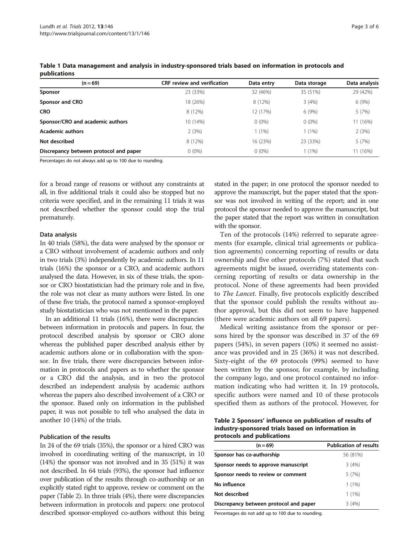| $(n = 69)$                             | <b>CRF</b> review and verification | Data entry | Data storage | Data analysis |  |
|----------------------------------------|------------------------------------|------------|--------------|---------------|--|
| Sponsor                                | 23 (33%)                           | 32 (46%)   | 35 (51%)     | 29 (42%)      |  |
| Sponsor and CRO                        | 18 (26%)                           | 8 (12%)    | 3(4%)        | 6(9%)         |  |
| <b>CRO</b>                             | 8 (12%)                            | 12 (17%)   | 6(9%)        | 5(7%)         |  |
| Sponsor/CRO and academic authors       | 10 (14%)                           | $0(0\%)$   | $0(0\%)$     | 11 (16%)      |  |
| <b>Academic authors</b>                | 2(3%)                              | (1%)       | $(1\%)$      | 2(3%)         |  |
| Not described                          | 8 (12%)                            | 16 (23%)   | 23 (33%)     | 5(7%)         |  |
| Discrepancy between protocol and paper | $0(0\%)$                           | $0(0\%)$   | $(1\%)$      | 11 (16%)      |  |

<span id="page-2-0"></span>Table 1 Data management and analysis in industry-sponsored trials based on information in protocols and publications

Percentages do not always add up to 100 due to rounding.

for a broad range of reasons or without any constraints at all, in five additional trials it could also be stopped but no criteria were specified, and in the remaining 11 trials it was not described whether the sponsor could stop the trial prematurely.

#### Data analysis

In 40 trials (58%), the data were analysed by the sponsor or a CRO without involvement of academic authors and only in two trials (3%) independently by academic authors. In 11 trials (16%) the sponsor or a CRO, and academic authors analysed the data. However, in six of these trials, the sponsor or CRO biostatistician had the primary role and in five, the role was not clear as many authors were listed. In one of these five trials, the protocol named a sponsor-employed study biostatistician who was not mentioned in the paper.

In an additional 11 trials (16%), there were discrepancies between information in protocols and papers. In four, the protocol described analysis by sponsor or CRO alone whereas the published paper described analysis either by academic authors alone or in collaboration with the sponsor. In five trials, there were discrepancies between information in protocols and papers as to whether the sponsor or a CRO did the analysis, and in two the protocol described an independent analysis by academic authors whereas the papers also described involvement of a CRO or the sponsor. Based only on information in the published paper, it was not possible to tell who analysed the data in another 10 (14%) of the trials.

# Publication of the results

In 24 of the 69 trials (35%), the sponsor or a hired CRO was involved in coordinating writing of the manuscript, in 10 (14%) the sponsor was not involved and in 35 (51%) it was not described. In 64 trials (93%), the sponsor had influence over publication of the results through co-authorship or an explicitly stated right to approve, review or comment on the paper (Table 2). In three trials (4%), there were discrepancies between information in protocols and papers: one protocol described sponsor-employed co-authors without this being stated in the paper; in one protocol the sponsor needed to approve the manuscript, but the paper stated that the sponsor was not involved in writing of the report; and in one protocol the sponsor needed to approve the manuscript, but the paper stated that the report was written in consultation with the sponsor.

Ten of the protocols (14%) referred to separate agreements (for example, clinical trial agreements or publication agreements) concerning reporting of results or data ownership and five other protocols (7%) stated that such agreements might be issued, overriding statements concerning reporting of results or data ownership in the protocol. None of these agreements had been provided to The Lancet. Finally, five protocols explicitly described that the sponsor could publish the results without author approval, but this did not seem to have happened (there were academic authors on all 69 papers).

Medical writing assistance from the sponsor or persons hired by the sponsor was described in 37 of the 69 papers (54%), in seven papers (10%) it seemed no assistance was provided and in 25 (36%) it was not described. Sixty-eight of the 69 protocols (99%) seemed to have been written by the sponsor, for example, by including the company logo, and one protocol contained no information indicating who had written it. In 19 protocols, specific authors were named and 10 of these protocols specified them as authors of the protocol. However, for

Table 2 Sponsors' influence on publication of results of industry-sponsored trials based on information in protocols and publications

| $(n = 69)$                             | <b>Publication of results</b> |
|----------------------------------------|-------------------------------|
| Sponsor has co-authorship              | 56 (81%)                      |
| Sponsor needs to approve manuscript    | 3(4%)                         |
| Sponsor needs to review or comment     | 5(7%)                         |
| No influence                           | $1(1\%)$                      |
| Not described                          | $1(1\%)$                      |
| Discrepancy between protocol and paper | 3(4%)                         |

Percentages do not add up to 100 due to rounding.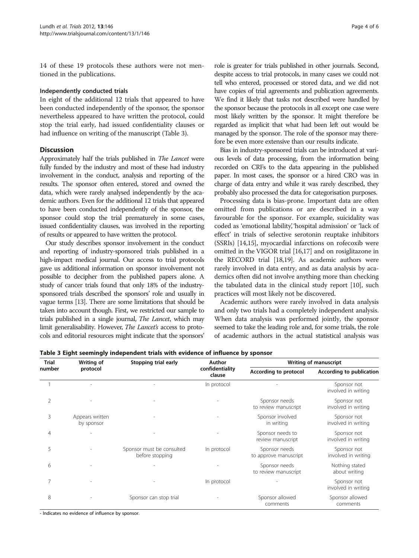14 of these 19 protocols these authors were not mentioned in the publications.

# Independently conducted trials

In eight of the additional 12 trials that appeared to have been conducted independently of the sponsor, the sponsor nevertheless appeared to have written the protocol, could stop the trial early, had issued confidentiality clauses or had influence on writing of the manuscript (Table 3).

# **Discussion**

Approximately half the trials published in The Lancet were fully funded by the industry and most of these had industry involvement in the conduct, analysis and reporting of the results. The sponsor often entered, stored and owned the data, which were rarely analysed independently by the academic authors. Even for the additional 12 trials that appeared to have been conducted independently of the sponsor, the sponsor could stop the trial prematurely in some cases, issued confidentiality clauses, was involved in the reporting of results or appeared to have written the protocol.

Our study describes sponsor involvement in the conduct and reporting of industry-sponsored trials published in a high-impact medical journal. Our access to trial protocols gave us additional information on sponsor involvement not possible to decipher from the published papers alone. A study of cancer trials found that only 18% of the industrysponsored trials described the sponsors' role and usually in vague terms [[13\]](#page-5-0). There are some limitations that should be taken into account though. First, we restricted our sample to trials published in a single journal, The Lancet, which may limit generalisability. However, The Lancet's access to protocols and editorial resources might indicate that the sponsors'

role is greater for trials published in other journals. Second, despite access to trial protocols, in many cases we could not tell who entered, processed or stored data, and we did not have copies of trial agreements and publication agreements. We find it likely that tasks not described were handled by the sponsor because the protocols in all except one case were most likely written by the sponsor. It might therefore be regarded as implicit that what had been left out would be managed by the sponsor. The role of the sponsor may therefore be even more extensive than our results indicate.

Bias in industry-sponsored trials can be introduced at various levels of data processing, from the information being recorded on CRFs to the data appearing in the published paper. In most cases, the sponsor or a hired CRO was in charge of data entry and while it was rarely described, they probably also processed the data for categorisation purposes.

Processing data is bias-prone. Important data are often omitted from publications or are described in a way favourable for the sponsor. For example, suicidality was coded as 'emotional lability', 'hospital admission' or 'lack of effect' in trials of selective serotonin reuptake inhibitors (SSRIs) [\[14,15\]](#page-5-0), myocardial infarctions on rofecoxib were omitted in the VIGOR trial [\[16,17\]](#page-5-0) and on rosiglitazone in the RECORD trial [\[18,19](#page-5-0)]. As academic authors were rarely involved in data entry, and as data analysis by academics often did not involve anything more than checking the tabulated data in the clinical study report [\[10\]](#page-5-0), such practices will most likely not be discovered.

Academic authors were rarely involved in data analysis and only two trials had a completely independent analysis. When data analysis was performed jointly, the sponsor seemed to take the leading role and, for some trials, the role of academic authors in the actual statistical analysis was

| <b>Trial</b> | Writing of                    | Stopping trial early                         | Author                    | Writing of manuscript                  |                                    |  |
|--------------|-------------------------------|----------------------------------------------|---------------------------|----------------------------------------|------------------------------------|--|
| number       | protocol                      |                                              | confidentiality<br>clause | According to protocol                  | According to publication           |  |
|              |                               | ٠                                            | In protocol               |                                        | Sponsor not<br>involved in writing |  |
| 2            |                               | ٠                                            |                           | Sponsor needs<br>to review manuscript  | Sponsor not<br>involved in writing |  |
| 3            | Appears written<br>by sponsor |                                              |                           | Sponsor involved<br>in writing         | Sponsor not<br>involved in writing |  |
| 4            |                               |                                              |                           | Sponsor needs to<br>review manuscript  | Sponsor not<br>involved in writing |  |
| 5            |                               | Sponsor must be consulted<br>before stopping | In protocol               | Sponsor needs<br>to approve manuscript | Sponsor not<br>involved in writing |  |
| 6            |                               |                                              |                           | Sponsor needs<br>to review manuscript  | Nothing stated<br>about writing    |  |
| 7            |                               |                                              | In protocol               |                                        | Sponsor not<br>involved in writing |  |
| 8            |                               | Sponsor can stop trial                       |                           | Sponsor allowed<br>comments            | Sponsor allowed<br>comments        |  |

Table 3 Eight seemingly independent trials with evidence of influence by sponsor

- Indicates no evidence of influence by sponsor.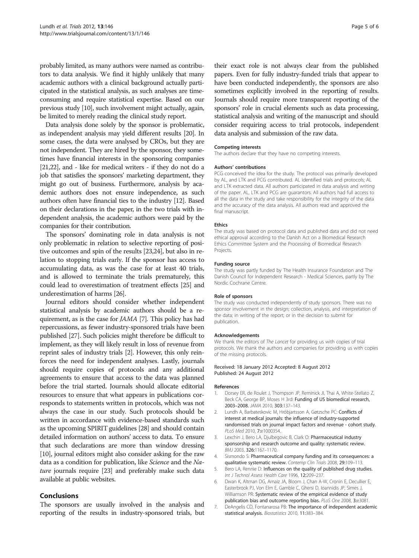<span id="page-4-0"></span>probably limited, as many authors were named as contributors to data analysis. We find it highly unlikely that many academic authors with a clinical background actually participated in the statistical analysis, as such analyses are timeconsuming and require statistical expertise. Based on our previous study [\[10\]](#page-5-0), such involvement might actually, again, be limited to merely reading the clinical study report.

Data analysis done solely by the sponsor is problematic, as independent analysis may yield different results [\[20\]](#page-5-0). In some cases, the data were analysed by CROs, but they are not independent. They are hired by the sponsor, they sometimes have financial interests in the sponsoring companies [[21,22\]](#page-5-0), and - like for medical writers - if they do not do a job that satisfies the sponsors' marketing department, they might go out of business. Furthermore, analysis by academic authors does not ensure independence, as such authors often have financial ties to the industry [\[12](#page-5-0)]. Based on their declarations in the paper, in the two trials with independent analysis, the academic authors were paid by the companies for their contribution.

The sponsors' dominating role in data analysis is not only problematic in relation to selective reporting of positive outcomes and spin of the results [[23,24\]](#page-5-0), but also in relation to stopping trials early. If the sponsor has access to accumulating data, as was the case for at least 40 trials, and is allowed to terminate the trials prematurely, this could lead to overestimation of treatment effects [[25](#page-5-0)] and underestimation of harms [[26](#page-5-0)].

Journal editors should consider whether independent statistical analysis by academic authors should be a requirement, as is the case for JAMA [7]. This policy has had repercussions, as fewer industry-sponsored trials have been published [[27](#page-5-0)]. Such policies might therefore be difficult to implement, as they will likely result in loss of revenue from reprint sales of industry trials [2]. However, this only reinforces the need for independent analyses. Lastly, journals should require copies of protocols and any additional agreements to ensure that access to the data was planned before the trial started. Journals should allocate editorial resources to ensure that what appears in publications corresponds to statements written in protocols, which was not always the case in our study. Such protocols should be written in accordance with evidence-based standards such as the upcoming SPIRIT guidelines [[28](#page-5-0)] and should contain detailed information on authors' access to data. To ensure that such declarations are more than window dressing [[10](#page-5-0)], journal editors might also consider asking for the raw data as a condition for publication, like *Science* and the *Na*-ture journals require [[23\]](#page-5-0) and preferably make such data available at public websites.

# Conclusions

The sponsors are usually involved in the analysis and reporting of the results in industry-sponsored trials, but

their exact role is not always clear from the published papers. Even for fully industry-funded trials that appear to have been conducted independently, the sponsors are also sometimes explicitly involved in the reporting of results. Journals should require more transparent reporting of the sponsors' role in crucial elements such as data processing, statistical analysis and writing of the manuscript and should consider requiring access to trial protocols, independent data analysis and submission of the raw data.

# Competing interests

The authors declare that they have no competing interests.

#### Authors' contributions

PCG conceived the idea for the study. The protocol was primarily developed by AL, and LTK and PCG contributed. AL identified trials and protocols; AL and LTK extracted data. All authors participated in data analysis and writing of the paper. AL, LTK and PCG are guarantors. All authors had full access to all the data in the study and take responsibility for the integrity of the data and the accuracy of the data analysis. All authors read and approved the final manuscript.

# Ethics

The study was based on protocol data and published data and did not need ethical approval according to the Danish Act on a Biomedical Research Ethics Committee System and the Processing of Biomedical Research Projects.

#### Funding source

The study was partly funded by The Health Insurance Foundation and The Danish Council for Independent Research - Medical Sciences, partly by The Nordic Cochrane Centre.

#### Role of sponsors

The study was conducted independently of study sponsors. There was no sponsor involvement in the design; collection, analysis, and interpretation of the data; in writing of the report; or in the decision to submit for publication.

#### Acknowledgements

We thank the editors of The Lancet for providing us with copies of trial protocols. We thank the authors and companies for providing us with copies of the missing protocols.

# Received: 18 January 2012 Accepted: 8 August 2012 Published: 24 August 2012

#### References

- Dorsey ER, de Roulet J, Thompson JP, Reminick JI, Thai A, White-Stellato Z, Beck CA, George BP, Moses H 3rd: Funding of US biomedical research, 2003–2008. JAMA 2010, 303:137–143.
- Lundh A, Barbateskovic M, Hróbjartsson A, Gøtzsche PC: Conflicts of interest at medical journals: the influence of industry-supported randomised trials on journal impact factors and revenue - cohort study. PLoS Med 2010, 7:e1000354.
- 3. Lexchin J, Bero LA, Djulbegovic B, Clark O: Pharmaceutical industry sponsorship and research outcome and quality: systematic review. BMJ 2003, 326:1167–1170.
- 4. Sismondo S: Pharmaceutical company funding and its consequences: a qualitative systematic review. Contemp Clin Trials 2008, 29:109–113.
- 5. Bero LA, Rennie D: Influences on the quality of published drug studies. Int J Technol Assess Health Care 1996, 12:209-237
- 6. Dwan K, Altman DG, Arnaiz JA, Bloom J, Chan A-W, Cronin E, Decullier E, Easterbrook PJ, Von Elm E, Gamble C, Ghersi D, Ioannidis JP, Simes J, Williamson PR: Systematic review of the empirical evidence of study publication bias and outcome reporting bias. PLoS One 2008, 3:e3081.
- 7. DeAngelis CD, Fontanarosa PB: The importance of independent academic statistical analysis. Biostatistics 2010, 11:383–384.